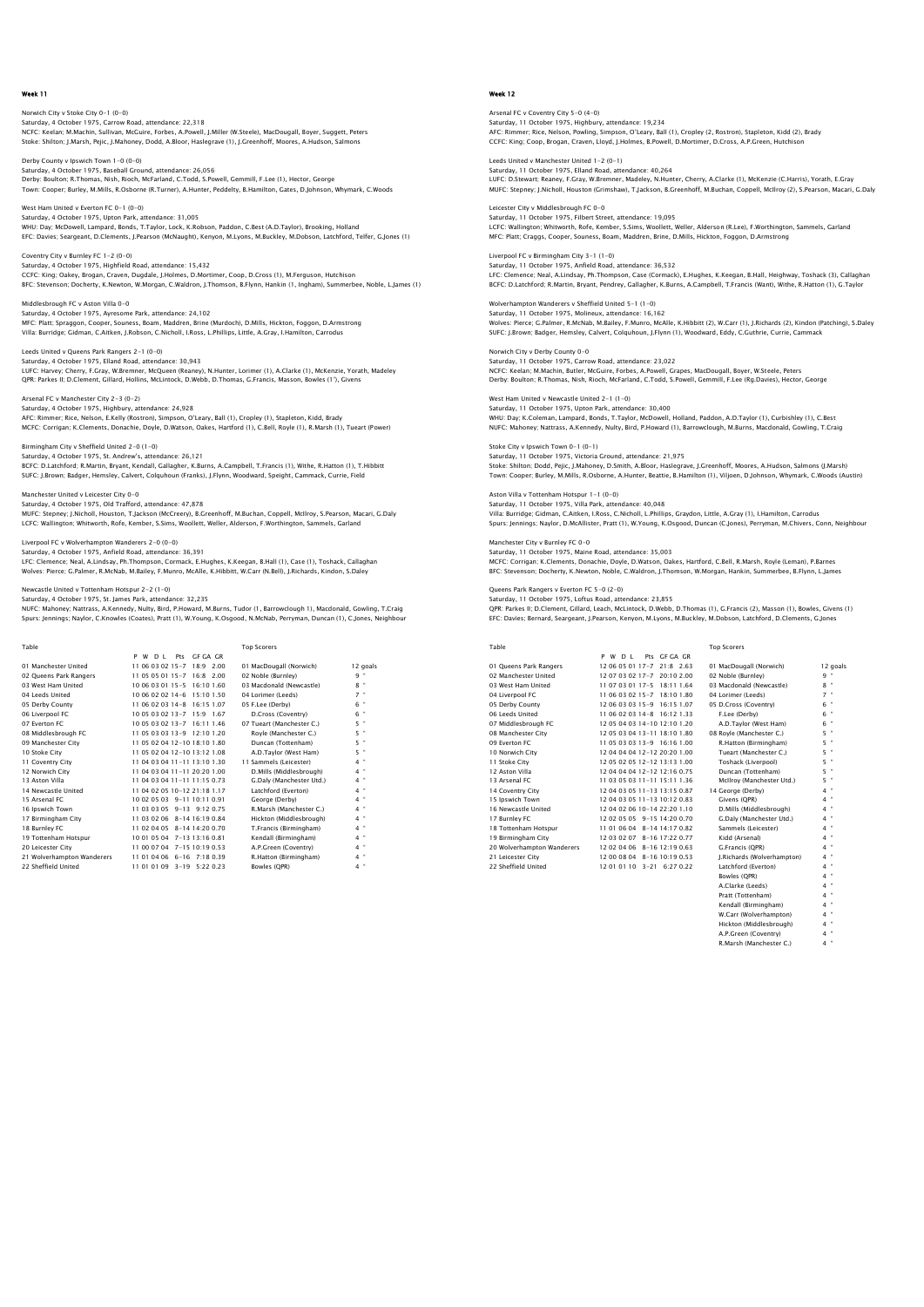Norwich City v Stoke City 0-1 (0-0) Saturday, 4 October 1975, Carrow Road, attendance: 22,318 NCFC: Keelan; M.Machin, Sullivan, McGuire, Forbes, A.Powell, J.Miller (W.Steele), MacDougall, Boyer, Suggett, Peters Stoke: Shilton; J.Marsh, Pejic, J.Mahoney, Dodd, A.Bloor, Haslegrave (1), J.Greenhoff, Moores, A.Hudson, Salmons

Derby County v Ipswich Town 1–0 (0–0)<br>Saturday, 4 October 1975, Baseball Ground, attendance: 26,056<br>Derby: Boulton; R.Thomas, Nish, Rioch, McFarland, C.Todd, S.Powell, Gemmill, F.Lee (1), Hector, George Town: Cooper; Burley, M.Mills, R.Osborne (R.Turner), A.Hunter, Peddelty, B.Hamilton, Gates, D.Johnson, Whymark, C.Woods

West Ham United v Everton FC 0-1 (0-0) Saturday, 4 October 1975, Upton Park, attendance: 31,005 WHU: Day; McDowell, Lampard, Bonds, T.Taylor, Lock, K.Robson, Paddon, C.Best (A.D.Taylor), Brooking, Holland EFC: Davies; Seargeant, D.Clements, J.Pearson (McNaught), Kenyon, M.Lyons, M.Buckley, M.Dobson, Latchford, Telfer, G.Jones (1)

Coventry City v Burnley FC 1-2 (0-0) Saturday, 4 October 1975, Highfield Road, attendance: 15,432 CCFC: King; Oakey, Brogan, Craven, Dugdale, J.Holmes, D.Mortimer, Coop, D.Cross (1), M.Ferguson, Hutchison<br>BFC: Stevenson; Docherty, K.Newton, W.Morgan, C.Waldron, J.Thomson, B.Flynn, Hankin (1, Ingham), Summerbee, Noble,

Middlesbrough FC v Aston Villa 0-0 Saturday, 4 October 1975, Ayresome Park, attendance: 24,102 MFC: Platt; Spraggon, Cooper, Souness, Boam, Maddren, Brine (Murdoch), D.Mills, Hickton, Foggon, D.Armstrong Villa: Burridge; Gidman, C.Aitken, J.Robson, C.Nicholl, I.Ross, L.Phillips, Little, A.Gray, I.Hamilton, Carrodus

Saturday, 4 October 1975, Elland Road, attendance: 30,943 LUFC: Harvey; Cherry, F.Gray, W.Bremner, McQueen (Reaney), N.Hunter, Lorimer (1), A.Clarke (1), McKenzie, Yorath, Madeley QPR: Parkes II; D.Clement, Gillard, Hollins, McLintock, D.Webb, D.Thomas, G.Francis, Masson, Bowles (1'), Givens

Arsenal FC v Manchester City 2-3 (0-2) Saturday, 4 October 1975, Highbury, attendance: 24,928 AFC: Rimmer; Rice, Nelson, E.Kelly (Rostron), Simpson, O'Leary, Ball (1), Cropley (1), Stapleton, Kidd, Brady MCFC: Corrigan; K.Clements, Donachie, Doyle, D.Watson, Oakes, Hartford (1), C.Bell, Royle (1), R.Marsh (1), Tueart (Power)

Birmingham City v Sheffield United 2-0 (1-0) Saturday, 4 October 1975, St. Andrew's, attendance: 26,121<br>BCFC: D.Latchford; R.Martin, Bryant, Kendall, Gallagher, K.Burns, A.Campbell, T.Francis (1), Withe, R.Hatton (1), T.Hibbitt<br>SUFC: J.Brown; Badger, Hemsley, Calvert

Manchester United v Leicester City 0-0 Saturday, 4 October 1975, Old Trafford, attendance: 47,878 MUFC: Stepney; J.Nicholl, Houston, T.Jackson (McCreery), B.Greenhoff, M.Buchan, Coppell, McIlroy, S.Pearson, Macari, G.Daly<br>LCFC: Wallington; Whitworth, Rofe, Kember, S.Sims, Woollett, Weller, Alderson, F.Worthington, Samm

#### Liverpool FC v Wolverhampton Wanderers 2-0 (0-0) Saturday, 4 October 1975, Anfield Road, attendance: 36,391

LFC: Clemence; Neal, A.Lindsay, Ph.Thompson, Cormack, E.Hughes, K.Keegan, B.Hall (1), Case (1), Toshack, Callaghan<br>Wolves: Pierce; G.Palmer, R.McNab, M.Bailey, F.Munro, McAlle, K.Hibbitt, W.Carr (N.Bell), J.Richards, Kindo

Newcastle United v Tottenham Hotspur 2-2 (1-0)

Leeds United v Queens Park Rangers 2-1 (0-0)

Saturday, 4 October 1975, St. James Park, attendance: 32,235 NUFC: Mahoney; Nattrass, A.Kennedy, Nulty, Bird, P.Howard, M.Burns, Tudor (1, Barrowclough 1), Macdonald, Gowling, T.Craig Spurs: Jennings; Naylor, C.Knowles (Coates), Pratt (1), W.Young, K.Osgood, N.McNab, Perryman, Duncan (1), C.Jones, Neighbour

| Table                      |                                   | <b>Top Scorers</b>        |                |
|----------------------------|-----------------------------------|---------------------------|----------------|
|                            | Pts GF GA GR<br>P<br>W D I        |                           |                |
| 01 Manchester United       | 11 06 03 02 15-7 18:9 2.00        | 01 MacDougall (Norwich)   | 12 goals       |
| 02 Oueens Park Rangers     | 11 05 05 01 15-7 16:8 2.00        | 02 Noble (Burnley)        | 9 "            |
| 03 West Ham United         | 10.06.03.01.15-5 16:10.1.60       | 03 Macdonald (Newcastle)  | $8 -$          |
| 04 Leeds United            | 10 06 02 02 14-6 15:10 1.50       | 04 Lorimer (Leeds)        | $7$ "          |
| 05 Derby County            | 11 06 02 03 14-8 16:15 1.07       | 05 F.Lee (Derby)          | $\bullet$<br>6 |
| 06 Liverpool FC            | 10 05 03 02 13-7 15:9 1.67        | D.Cross (Coventry)        | $\theta$<br>6  |
| 07 Everton EC              | 10 05 03 02 13-7 16:11 1.46       | 07 Tueart (Manchester C.) | $5 -$          |
| 08 Middlesbrough FC        | 11 05 03 03 13-9 12:10 1.20       | Rovle (Manchester C.)     | 5 "            |
| 09 Manchester City         | 11 05 02 04 12-10 18:10 1.80      | Duncan (Tottenham)        | 5 "            |
| 10 Stoke City              | 11 05 02 04 12-10 13:12 1.08      | A.D.Tavlor (West Ham)     | 5 "            |
| 11 Coventry City           | 11 04 03 04 11-11 13:10 1.30      | 11 Sammels (Leicester)    | 4 "            |
| 12 Norwich City            | 11 04 03 04 11-11 20:20 1.00      | D.Mills (Middlesbrough)   | $4$ "          |
| 13 Aston Villa             | 11 04 03 04 11 - 11 11 15 0.73    | G.Daly (Manchester Utd.)  | $4$ "          |
| 14 Newcastle United        | 11 04 02 05 10-12 21:18 1.17      | Latchford (Everton)       | 4 "            |
| 15 Arsenal FC              | 10 02 05 03 9-11 10:11 0.91       | George (Derby)            | $4$ "          |
| 16 Ipswich Town            | 11 03 03 05 9-13 9:12 0.75        | R.Marsh (Manchester C.)   | $4$ "          |
| 17 Birmingham City         | 11 03 02 06 8-14 16:19 0.84       | Hickton (Middlesbrough)   | 4 "            |
| 18 Burnley FC              | 11 02 04 05 8-14 14:20 0.70       | T.Francis (Birmingham)    | 4 "            |
| 19 Tottenham Hotspur       | 10 01 05 04 7-13 13:16 0.81       | Kendall (Birmingham)      | 4 "            |
| 20 Leicester City          | 11 00 07 04 7-15 10:19 0.53       | A.P.Green (Coventry)      | $4$ "          |
| 21 Wolverhampton Wanderers | 11 01 04 06<br>$6 - 16$ 7:18 0.39 | R.Hatton (Birmingham)     | 4 "            |
| 22 Sheffield United        | 11 01 01 09 3-19 5:22 0.23        | Bowles (OPR)              | 4 "            |

# Week 12

Arsenal FC v Coventry City 5–0 (4–0)<br>Saturday, 11 October 1975, Highbury, attendance: 19,234<br>AFC: Rimmer; Rice, Nelson, Powling, Simpson, O'Leary, Ball (1), Cropley (2, Rostron), Stapleton, Kidd (2), Brady CCFC: King; Coop, Brogan, Craven, Lloyd, J.Holmes, B.Powell, D.Mortimer, D.Cross, A.P.Green, Hutchison

Leeds United v Manchester United 1–2 (0–1)<br>Saturday, 11 October 1975, Elland Road, attendance: 40,264<br>LUFC: D.Stewart; Reaney, F.Gray, W.Bremner, Madeley, N.Hunter, Cherry, A.Clarke (1), McKenzie (C.Harris), Yorath, E.Gray MUFC: Stepney; J.Nicholl, Houston (Grimshaw), T.Jackson, B.Greenhoff, M.Buchan, Coppell, McIlroy (2), S.Pearson, Macari, G.Daly

Leicester City v Middlesbrough FC 0-0 Saturday, 11 October 1975, Filbert Street, attendance: 19,095 LCFC: Wallington; Whitworth, Rofe, Kember, S.Sims, Woollett, Weller, Alderson (R.Lee), F.Worthington, Sammels, Garland MFC: Platt; Craggs, Cooper, Souness, Boam, Maddren, Brine, D.Mills, Hickton, Foggon, D.Armstrong

Liverpool FC v Birmingham City 3-1 (1-0) Saturday, 11 October 1975, Anfield Road, attendance: 36,532 LFC: Clemence; Neal, A.Lindsay, Ph.Thompson, Case (Cormack), E.Hughes, K.Keegan, B.Hall, Heighway, Toshack (3), Callaghar<br>BCFC: D.Latchford; R.Martin, Bryant, Pendrey, Gallagher, K.Burns, A.Campbell, T.Francis (Want), With

Wolverhampton Wanderers v Sheffield United 5–1 (1–0)<br>Saturday, 11 October 1975, Molineux, attendance: 16,162<br>Wolves: Pierce; G.Palmer, R.McNab, M.Bailey, F.Munro, McAlle, K.Hibbitt (2), W.Carr (1), J.Richards (2), Kindon ( SUFC: J.Brown; Badger, Hemsley, Calvert, Colquhoun, J.Flynn (1), Woodward, Eddy, C.Guthrie, Currie, Cammack

Norwich City V Densy County O~O<br>Saturday, 11 October 1975, Carrow Road, attendance: 23,022<br>NCFC: Keelan; M.Machin, Butler, McGuire, Forbes, A.Powell, Grapes, MacDougall, Boyer, W.Steele, Peters NCFC: Keelan; M.Machin, Butler, McGuire, Forbes, A.Powell, Grapes, MacDougall, Boyer, W.Steele, Peters Derby: Boulton; R.Thomas, Nish, Rioch, McFarland, C.Todd, S.Powell, Gemmill, F.Lee (Rg.Davies), Hector, George West Ham United v Newcastle United 2-1 (1-0)

Saturday, 11 October 1975, Upton Park, attendance: 30,400 WHU: Day; K.Coleman, Lampard, Bonds, T.Taylor, McDowell, Holland, Paddon, A.D.Taylor (1), Curbishley (1), C.Best NUFC: Mahoney; Nattrass, A.Kennedy, Nulty, Bird, P.Howard (1), Barrowclough, M.Burns, Macdonald, Gowling, T.Craig

Stoke City v Ipswich Town 0-1 (0-1) Saturday, 11 October 1975, Victoria Ground, attendance: 21,975<br>Stoke: Shilton: Dodd, Pejic, J.Mahoney, D.Smith, A.Bloor, Haslegrave, J.Greenhoff, Moores, A.Hudson, Salmons (J.Marsh)<br>Town: Cooper; Burley, M.Mills, R.Osborne

Aston Villa v Tottenham Hotspur 1-1 (0-0) Saturday, 11 October 1975, Villa Park, attendance: 40,048 Villa: Burridge; Gidman, C.Aitken, I.Ross, C.Nicholl, L.Phillips, Graydon, Little, A.Gray (1), I.Hamilton, Carrodus<br>Spurs: Jennings; Naylor, D.McAllister, Pratt (1), W.Young, K.Osgood, Duncan (C.Jones), Perryman, M.Chivers

Manchester City v Burnley FC 0-0

Saturday, 11 October 1975, Maine Road, attendance: 35,003<br>MCFC: Corrigan; K.Clements, Donachie, Doyle, D.Watson, Oakes, Hartford, C.Bell, R.Marsh, Royle (Leman), P.Barnes<br>BFC: Stevenson; Docherty, K.Newton, Noble, C.Waldro

Queens Park Rangers v Everton FC 5-0 (2-0) Saturday, 11 October 1975, Loftus Road, attendance: 23,855

Norwich City v Derby County 0-0

QPR: Parkes II; D.Clement, Gillard, Leach, McLintock, D.Webb, D.Thomas (1), G.Francis (2), Masson (1), Bowles, Givens (1) EFC: Davies; Bernard, Seargeant, J.Pearson, Kenyon, M.Lyons, M.Buckley, M.Dobson, Latchford, D.Clements, G.Jones

| Table                      |                                       | <b>Top Scorers</b>         |          |
|----------------------------|---------------------------------------|----------------------------|----------|
|                            | Pts GE GA GR<br>P W<br>D <sub>1</sub> |                            |          |
| 01 Queens Park Rangers     | 12 06 05 01 17-7 21:8 2.63            | 01 MacDougall (Norwich)    | 12 goals |
| 02 Manchester United       | 12 07 03 02 17-7 20:10 2.00           | 02 Noble (Burnley)         | $9 -$    |
| 03 West Ham United         | 11 07 03 01 17-5 18:11 1.64           | 03 Macdonald (Newcastle)   | $8 -$    |
| 04 Liverpool FC            | 11 06 03 02 15-7 18:10 1.80           | 04 Lorimer (Leeds)         | $7 -$    |
| 05 Derby County            | 12 06 03 03 15-9 16:15 1.07           | 05 D.Cross (Coventry)      | $6 -$    |
| 06 Leeds United            | 11 06 02 03 14-8 16:12 1.33           | F.Lee (Derby)              | $6 -$    |
| 07 Middlesbrough FC        | 12 05 04 03 14-10 12:10 1.20          | A.D.Tavlor (West Ham)      | $6$ $-$  |
| 08 Manchester City         | 12 05 03 04 13-11 18:10 1.80          | 08 Rovie (Manchester C.)   | $5 -$    |
| 09 Everton EC              | 11 05 03 03 13-9 16:16 1.00           | R.Hatton (Birmingham)      | $5 -$    |
| 10 Norwich City            | 12 04 04 04 12-12 20:20 1.00          | Tueart (Manchester C.)     | $5 -$    |
| 11 Stoke City              | 12 05 02 05 12-12 13:13 1.00          | Toshack (Liverpool)        | 5 "      |
| 12 Aston Villa             | 12 04 04 04 12-12 12:16 0.75          | Duncan (Tottenham)         | $5 -$    |
| 13 Arsenal FC              | 11 03 05 03 11-11 15:11 1.36          | McIlroy (Manchester Utd.)  | $5 -$    |
| 14 Coventry City           | 12 04 03 05 11-13 13:15 0.87          | 14 George (Derby)          | $4 -$    |
| 15 Ipswich Town            | 12 04 03 05 11-13 10:12 0.83          | Givens (OPR)               | $4$ $-$  |
| 16 Newcastle United        | 12 04 02 06 10-14 22:20 1.10          | D.Mills (Middlesbrough)    | $4 -$    |
| 17 Burnley FC              | 12 02 05 05 9-15 14:20 0.70           | G.Dalv (Manchester Utd.)   | $4 -$    |
| 18 Tottenham Hotspur       | 11 01 06 04 8-14 14:17 0.82           | Sammels (Leicester)        | $4$ $-$  |
| 19 Birmingham City         | 12 03 02 07 8-16 17:22 0.77           | Kidd (Arsenal)             | $4 -$    |
| 20 Wolverhampton Wanderers | 12 02 04 06 8-16 12:19 0.63           | G.Francis (OPR)            | $4 -$    |
| 21 Leicester City          | 12 00 08 04 8-16 10:19 0.53           | I.Richards (Wolverhampton) | $4 -$    |
| 22 Sheffield United        | 12 01 01 10 3-21 6:27 0.22            | Latchford (Everton)        | $4$ $-$  |
|                            |                                       | Bowles (OPR)               | $4 -$    |
|                            |                                       | $\cdots$                   | $\sim$   |

| 01 MacDougall (Norwich)    | 12 qoa            |
|----------------------------|-------------------|
| 02 Noble (Burnley)         | q                 |
| 03 Macdonald (Newcastle)   | 8<br>$\alpha$     |
| 04 Lorimer (Leeds)         | $\sim$<br>7       |
| 05 D.Cross (Coventry)      | 6<br>×            |
| F.Lee (Derby)              | $\mathbf{a}$<br>6 |
| A.D.Tavlor (West Ham)      | $\alpha$<br>6     |
| 08 Royle (Manchester C.)   | $\mathbf{a}$<br>5 |
| R.Hatton (Birmingham)      | 5<br>$\sim$       |
| Tueart (Manchester C.)     | $\alpha$<br>5     |
| Toshack (Liverpool)        | 5<br>٠            |
| Duncan (Tottenham)         | 5<br>$\sim$       |
| McIlrov (Manchester Utd.)  | $5 -$             |
| 14 George (Derby)          | $4 -$             |
| Givens (QPR)               | $4 -$             |
| D.Mills (Middlesbrough)    | $4 -$             |
| G.Dalv (Manchester Utd.)   | $4 -$             |
| Sammels (Leicester)        | $4 -$             |
| Kidd (Arsenal)             | $\sim$<br>4       |
| G.Francis (OPR)            | $4 -$             |
| J.Richards (Wolverhampton) | $4 -$             |
| Latchford (Everton)        | $4 -$             |
| Bowles (OPR)               | - 10<br>4         |
| A.Clarke (Leeds)           | $4 -$             |
| Pratt (Tottenham)          | $4 -$             |
| Kendall (Birmingham)       | $4 -$             |
| W.Carr (Wolverhampton)     | $\alpha$<br>4     |
| Hickton (Middlesbrough)    | $4 -$             |
| A.P.Green (Coventry)       | $4 -$             |
| R.Marsh (Manchester C.)    | $4 -$             |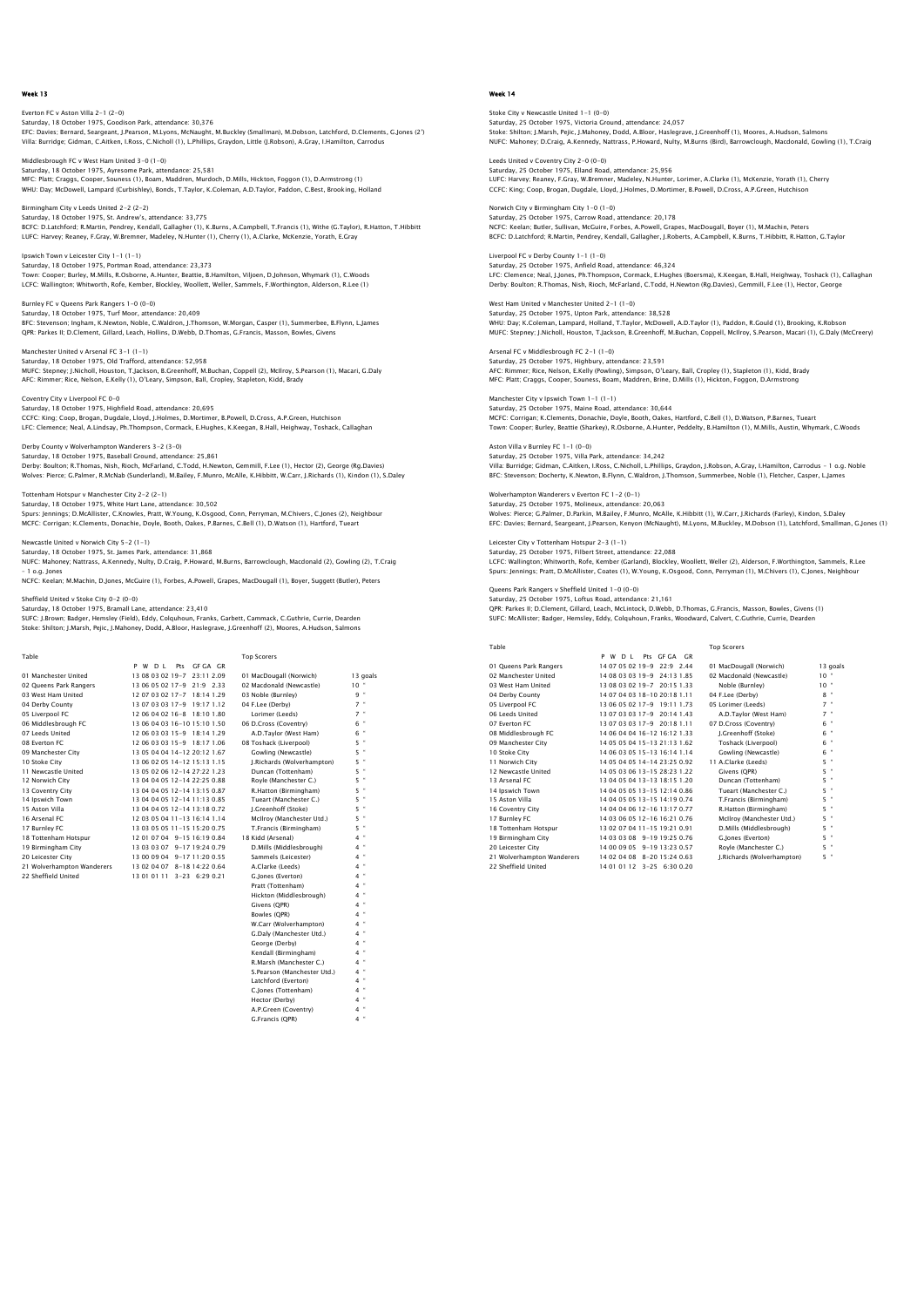Everton FC v Aston Villa 2–1 (2–0)<br>Saturday, 18 October 1975, Goodison Park, attendance: 30,376<br>EFC: Davies: Bernard, Seargeant, J.Pearson, M.Lyons, McNaught, M.Buckley (Smallman), M.Dobson, Latchford, D.Clements, G.Jones Villa: Burridge; Gidman, C.Aitken, I.Ross, C.Nicholl (1), L.Phillips, Graydon, Little (J.Robson), A.Gray, I.Hamilton, Carrodus

Middlesbrough FC v West Ham United 3-0 (1-0) Saturday, 18 October 1975, Ayresome Park, attendance: 25,581 MFC: Platt; Craggs, Cooper, Souness (1), Boam, Maddren, Murdoch, D.Mills, Hickton, Foggon (1), D.Armstrong (1) WHU: Day; McDowell, Lampard (Curbishley), Bonds, T.Taylor, K.Coleman, A.D.Taylor, Paddon, C.Best, Brooking, Holland

Birmingham City v Leeds United 2-2 (2-2)<br>Saturday, 18 October 1975, St. Andrew's, Seeds of the  $2-z$  ( $2-z$ )<br>Der 1975, St. Andrew's, attendance: 33,775 BCFC: D.Latchford; R.Martin, Pendrey, Kendall, Gallagher (1), K.Burns, A.Campbell, T.Francis (1), Withe (G.Taylor), R.Hatton, T.Hibbitt LUFC: Harvey; Reaney, F.Gray, W.Bremner, Madeley, N.Hunter (1), Cherry (1), A.Clarke, McKenzie, Yorath, E.Gray

Ipswich Town v Leicester City 1-1 (1-1) Saturday, 18 October 1975, Portman Road, attendance: 23,373 Town: Cooper; Burley, M.Mills, R.Osborne, A.Hunter, Beattie, B.Hamilton, Viljoen, D.Johnson, Whymark (1), C.Woods<br>LCFC: Wallington; Whitworth, Rofe, Kember, Blockley, Woollett, Weller, Sammels, F.Worthington, Alderson, R.L

Burnley FC v Queens Park Rangers 1-0 (0-0) Saturday, 18 October 1975, Turf Moor, attendance: 20,409<br>Saturday, 18 October 1975, Turf Moor, attendance: 20,409<br>BFC: Stevenson; Ingham, K.Newton, Noble, C.Waldron, J.Tho BFC: Stevenson; Ingham, K.Newton, Noble, C.Waldron, J.Thomson, W.Morgan, Casper (1), Summerbee, B.Flynn, L.James QPR: Parkes II; D.Clement, Gillard, Leach, Hollins, D.Webb, D.Thomas, G.Francis, Masson, Bowles, Givens

Saturday, 18 October 1975, Old Trafford, attendance: 52,958 MUFC: Stepney; J.Nicholl, Houston, T.Jackson, B.Greenhoff, M.Buchan, Coppell (2), McIlroy, S.Pearson (1), Macari, G.Daly AFC: Rimmer; Rice, Nelson, E.Kelly (1), O'Leary, Simpson, Ball, Cropley, Stapleton, Kidd, Brady

Coventry City v Liverpool FC 0-0 Saturday, 18 October 1975, Highfield Road, attendance: 20,695 CCFC: King; Coop, Brogan, Dugdale, Lloyd, J.Holmes, D.Mortimer, B.Powell, D.Cross, A.P.Green, Hutchison LFC: Clemence; Neal, A.Lindsay, Ph.Thompson, Cormack, E.Hughes, K.Keegan, B.Hall, Heighway, Toshack, Callaghan

Derby County v Wolverhampton Wanderers 3-2 (3-0) Saturday, 18 October 1975, Baseball Ground, attendance: 25,861 Derby: Boulton; R.Thomas, Nish, Rioch, McFarland, C.Todd, H.Newton, Gemmill, F.Lee (1), Hector (2), George (Rg.Davies) Wolves: Pierce; G.Palmer, R.McNab (Sunderland), M.Bailey, F.Munro, McAlle, K.Hibbitt, W.Carr, J.Richards (1), Kindon (1), S.Daley

Tottenham Hotspur v Manchester City 2-2 (2-1) Saturday, 18 October 1975, White Hart Lane, attendance: 30,502 Spurs: Jennings; D.McAllister, C.Knowles, Pratt, W.Young, K.Osgood, Conn, Perryman, M.Chivers, C.Jones (2), Neighbour<br>MCFC: Corrigan; K.Clements, Donachie, Doyle, Booth, Oakes, P.Barnes, C.Bell (1), D.Watson (1), Hartford,

Newcastle United v Norwich City 5-2 (1-1)

Saturday, 18 October 1975, St. James Park, attendance: 31,868 NUFC: Mahoney; Nattrass, A.Kennedy, Nulty, D.Craig, P.Howard, M.Burns, Barrowclough, Macdonald (2), Gowling (2), T.Craig – 1 o.g. Jones

NCFC: Keelan; M.Machin, D.Jones, McGuire (1), Forbes, A.Powell, Grapes, MacDougall (1), Boyer, Suggett (Butler), Peters

Sheffield United v Stoke City 0-2 (0-0) Saturday, 18 October 1975, Bramall Lane, attendance: 23,410

Manchester United v Arsenal FC 3-1 (1-1)

SUFC: J.Brown; Badger, Hemsley (Field), Eddy, Colquhoun, Franks, Garbett, Cammack, C.Guthrie, Currie, Dearden Stoke: Shilton; J.Marsh, Pejic, J.Mahoney, Dodd, A.Bloor, Haslegrave, J.Greenhoff (2), Moores, A.Hudson, Salmons

| Table                      |                              | <b>Top Scorers</b>         |          |
|----------------------------|------------------------------|----------------------------|----------|
|                            | P W D I<br>Pts GEGA GR       |                            |          |
| 01 Manchester United       | 13 08 03 02 19-7 23:11 2.09  | 01 MacDougall (Norwich)    | 13 goals |
| 02 Oueens Park Rangers     | 13 06 05 02 17-9 21:9 2.33   | 02 Macdonald (Newcastle)   | $10 -$   |
| 03 West Ham United         | 12 07 03 02 17-7 18:14 1.29  | 03 Noble (Burnley)         | 9 "      |
| 04 Derby County            | 13 07 03 03 17-9 19:17 1.12  | 04 F.Lee (Derby)           | $7 -$    |
| 05 Liverpool FC            | 12 06 04 02 16-8 18:10 1.80  | Lorimer (Leeds)            | $7$ "    |
| 06 Middlesbrough FC        | 13 06 04 03 16-10 15:10 1.50 | 06 D.Cross (Coventry)      | $6$ "    |
| 07 Leeds United            | 12 06 03 03 15-9 18:14 1.29  | A.D.Taylor (West Ham)      | $6$ "    |
| 08 Everton EC              | 12 06 03 03 15-9 18:17 1.06  | 08 Toshack (Liverpool)     | $5 -$    |
| 09 Manchester City         | 13 05 04 04 14-12 20:12 1.67 | Gowling (Newcastle)        | $5$ "    |
| 10 Stoke City              | 13 06 02 05 14-12 15:13 1.15 | J.Richards (Wolverhampton) | 5 "      |
| 11 Newcastle United        | 13 05 02 06 12-14 27:22 1.23 | Duncan (Tottenham)         | 5 "      |
| 12 Norwich City            | 13 04 04 05 12-14 22:25 0.88 | Rovle (Manchester C.)      | 5 "      |
| 13 Coventry City           | 13 04 04 05 12-14 13:15 0.87 | R.Hatton (Birmingham)      | 5 "      |
| 14 Ipswich Town            | 13 04 04 05 12-14 11:13 0.85 | Tueart (Manchester C.)     | 5 "      |
| 15 Aston Villa             | 13 04 04 05 12-14 13:18 0.72 | I.Greenhoff (Stoke)        | $5 -$    |
| 16 Arsenal FC              | 12 03 05 04 11-13 16:14 1.14 | McIlrov (Manchester Utd.)  | $5 -$    |
| 17 Burnley FC              | 13 03 05 05 11-15 15:20 0.75 | T.Francis (Birmingham)     | ×<br>5   |
| 18 Tottenham Hotspur       | 12 01 07 04 9-15 16:19 0.84  | 18 Kidd (Arsenal)          | $4$ "    |
| 19 Birmingham City         | 13 03 03 07 9-17 19:24 0.79  | D.Mills (Middlesbrough)    | $4 -$    |
| 20 Leicester City          | 13 00 09 04 9-17 11:20 0.55  | Sammels (Leicester)        | $4 -$    |
| 21 Wolverhampton Wanderers | 13 02 04 07 8-18 14:22 0.64  | A.Clarke (Leeds)           | $4$ "    |
| 22 Sheffield United        | 13010111 3-23 6:290.21       | G. lones (Everton)         | $4 -$    |
|                            |                              | Pratt (Tottenham)          | $4 -$    |
|                            |                              | Hickton (Middlesbrough)    | $4 -$    |
|                            |                              | Givens (OPR)               | ×<br>4   |
|                            |                              | Bowles (OPR)               | $4$ "    |
|                            |                              | W.Carr (Wolverhampton)     | $4$ "    |
|                            |                              | G.Daly (Manchester Utd.)   | $4 -$    |
|                            |                              | George (Derby)             | $4$ "    |
|                            |                              | Kendall (Birmingham)       | $4$ "    |
|                            |                              | R.Marsh (Manchester C.)    | $4$ "    |

 S.Pearson (Manchester Utd.) 4 " Latchford (Everton) 4 " C.Jones (Tottenham) Hector (Derby)

A.P.Green (Coventry) 4 " G.Francis (QPR) 4 "

# Week 14

Stoke City v Newcastle United 1-1 (0-0) Saturday, 25 October 1975, Victoria Ground, attendance: 24,057 Stoke: Shilton; J.Marsh, Pejic, J.Mahoney, Dodd, A.Bloor, Haslegrave, J.Greenhoff (1), Moores, A.Hudson, Salmons NUFC: Mahoney; D.Craig, A.Kennedy, Nattrass, P.Howard, Nulty, M.Burns (Bird), Barrowclough, Macdonald, Gowling (1), T.Craig

Leeds United v Coventry City 2–0 (0–0)<br>Saturday, 25 October 1975, Elland Road, attendance: 25,956<br>LUFC: Harvey; Reaney, F.Gray, W.Bremner, Madeley, N.Hunter, Lorimer, A.Clarke (1), McKenzie, Yorath (1), Cherry CCFC: King; Coop, Brogan, Dugdale, Lloyd, J.Holmes, D.Mortimer, B.Powell, D.Cross, A.P.Green, Hutchison

Norwich City v Birmingham City 1–0 (1–0)<br>Saturday, 25 October 1975, Carrow Road, attendance: 20,178<br>NCFC: Keelan; Butler, Sullivan, McGuire, Forbes, A.Powell, Grapes, MacDougall, Boyer (1), M.Machin, Peters BCFC: D.Latchford; R.Martin, Pendrey, Kendall, Gallagher, J.Roberts, A.Campbell, K.Burns, T.Hibbitt, R.Hatton, G.Taylor

Liverpool FC v Derby County 1-1 (1-0) Saturday, 25 October 1975, Anfield Road, attendance: 46,324 LFC: Clemence; Neal, J.Jones, Ph.Thompson, Cormack, E.Hughes (Boersma), K.Keegan, B.Hall, Heighway, Toshack (1), Callaghan<br>Derby: Boulton; R.Thomas, Nish, Rioch, McFarland, C.Todd, H.Newton (Rg.Davies), Gemmill, F.Lee (1),

West Ham United v Manchester United 2-1 (1-0) Saturday, 25 October 1975, Upton Park, attendance: 38,528 WHU: Day; K.Coleman, Lampard, Holland, T.Taylor, McDowell, A.D.Taylor (1), Paddon, R.Gould (1), Brooking, K.Robson MUFC: Stepney; J.Nicholl, Houston, T.Jackson, B.Greenhoff, M.Buchan, Coppell, McIlroy, S.Pearson, Macari (1), G.Daly (McCreery)

Arsenal FC v Middlesbrough FC 2-1 (1-0) Saturday, 25 October 1975, Highbury, attendance: 23,591 AFC: Rimmer; Rice, Nelson, E.Kelly (Powling), Simpson, O'Leary, Ball, Cropley (1), Stapleton (1), Kidd, Brady MFC: Platt; Craggs, Cooper, Souness, Boam, Maddren, Brine, D.Mills (1), Hickton, Foggon, D.Armstrong

Manchester City v Ipswich Town 1-1 (1-1) Saturday, 25 October 1975, Maine Road, attendance: 30,644 MCFC: Corrigan; K.Clements, Donachie, Doyle, Booth, Oakes, Hartford, C.Bell (1), D.Watson, P.Barnes, Tueart Town: Cooper; Burley, Beattie (Sharkey), R.Osborne, A.Hunter, Peddelty, B.Hamilton (1), M.Mills, Austin, Whymark, C.Woods

Aston Villa v Burnley FC 1-1 (0-0) Saturday, 25 October 1975, Villa Park, attendance: 34,242 Villa: Burridge; Gidman, C.Aitken, I.Ross, C.Nicholl, L.Phillips, Graydon, J.Robson, A.Gray, I.Hamilton, Carrodus – 1 o.g. Noble BFC: Stevenson; Docherty, K.Newton, B.Flynn, C.Waldron, J.Thomson, Summerbee, Noble (1), Fletcher, Casper, L.James

Wolverhampton Wanderers v Everton FC 1-2 (0-1) Saturday, 25 October 1975, Molineux, attendance: 20,063 Wolves: Pierce; G.Palmer, D.Parkin, M.Bailey, F.Munro, McAlle, K.Hibbitt (1), W.Carr, J.Richards (Farley), Kindon, S.Daley<br>EFC: Davies; Bernard, Seargeant, J.Pearson, Kenyon (McNaught), M.Lyons, M.Buckley, M.Dobson (1), La

Leicester City v Tottenham Hotspur 2-3 (1-1) Saturday, 25 October 1975, Filbert Street, attendance: 22,088 LCFC: Wallington; Whitworth, Rofe, Kember (Garland), Blockley, Woollett, Weller (2), Alderson, F.Worthington, Sammels, R.Lee<br>Spurs: Jennings; Pratt, D.McAllister, Coates (1), W.Young, K.Osgood, Conn, Perryman (1), M.Chiver

Queens Park Rangers v Sheffield United 1-0 (0-0) Saturday, 25 October 1975, Loftus Road, attendance: 21,161 QPR: Parkes II; D.Clement, Gillard, Leach, McLintock, D.Webb, D.Thomas, G.Francis, Masson, Bowles, Givens (1) SUFC: McAllister; Badger, Hemsley, Eddy, Colquhoun, Franks, Woodward, Calvert, C.Guthrie, Currie, Dearden

| Table                      |                                       | <b>Top Scorers</b>         |                 |
|----------------------------|---------------------------------------|----------------------------|-----------------|
|                            | P W<br>Pts GE GA GR<br>D <sub>1</sub> |                            |                 |
| 01 Queens Park Rangers     | 14 07 05 02 19-9<br>$22.9$ 2.44       | 01 MacDougall (Norwich)    | 13 goals        |
| 02 Manchester United       | 14 08 03 03 19-9<br>24:13 1.85        | 02 Macdonald (Newcastle)   | $10^{-4}$       |
| 03 West Ham United         | 13 08 03 02 19-7 20:15 1.33           | Noble (Burnley)            | 10 <sup>°</sup> |
| 04 Derby County            | 14 07 04 03 18-10 20:18 1.11          | 04 F.Lee (Derby)           | $8 -$           |
| 05 Liverpool FC            | 13 06 05 02 17-9 19:11 1.73           | 05 Lorimer (Leeds)         | $7 -$           |
| 06 Leeds United            | 13 07 03 03 17-9 20:14 1.43           | A.D.Tavlor (West Ham)      | $7 -$           |
| 07 Everton EC              | 13 07 03 03 17-9 20:18 1.11           | 07 D.Cross (Coventry)      | $6 -$           |
| 08 Middlesbrough FC        | 14 06 04 04 16-12 16:12 1.33          | J.Greenhoff (Stoke)        | 6 "             |
| 09 Manchester City         | 14 05 05 04 15-13 21:13 1.62          | Toshack (Liverpool)        | $6 -$           |
| 10 Stoke City              | 14 06 03 05 15-13 16:14 1.14          | Gowling (Newcastle)        | $6 -$           |
| 11 Norwich City            | 14 05 04 05 14-14 23:25 0.92          | 11 A.Clarke (Leeds)        | $5 -$           |
| 12 Newcastle United        | 14 05 03 06 13-15 28:23 1.22          | Givens (OPR)               | $5 -$           |
| 13 Arsenal FC              | 13 04 05 04 13-13 18:15 1.20          | Duncan (Tottenham)         | $5 -$           |
| 14 Ipswich Town            | 14 04 05 05 13-15 12:14 0.86          | Tueart (Manchester C.)     | $5 -$           |
| 15 Aston Villa             | 14 04 05 05 13-15 14:19 0.74          | T.Francis (Birmingham)     | $5 -$           |
| 16 Coventry City           | 14 04 04 06 12-16 13:17 0.77          | R.Hatton (Birmingham)      | $5 -$           |
| 17 Burnley FC              | 14 03 06 05 12-16 16:21 0.76          | McIlrov (Manchester Utd.)  | $5 -$           |
| 18 Tottenham Hotspur       | 13 02 07 04 11-15 19:21 0.91          | D.Mills (Middlesbrough)    | $5 -$           |
| 19 Birmingham City         | 14 03 03 08 9-19 19:25 0.76           | G.lones (Everton)          | $5 -$           |
| 20 Leicester City          | 14 00 09 05 9-19 13:23 0.57           | Royle (Manchester C.)      | $5 -$           |
| 21 Wolverhampton Wanderers | 14 02 04 08 8-20 15:24 0.63           | J.Richards (Wolverhampton) | 5 "             |
| 22 Sheffield United        | 14 01 01 12 3-25 6:30 0.20            |                            |                 |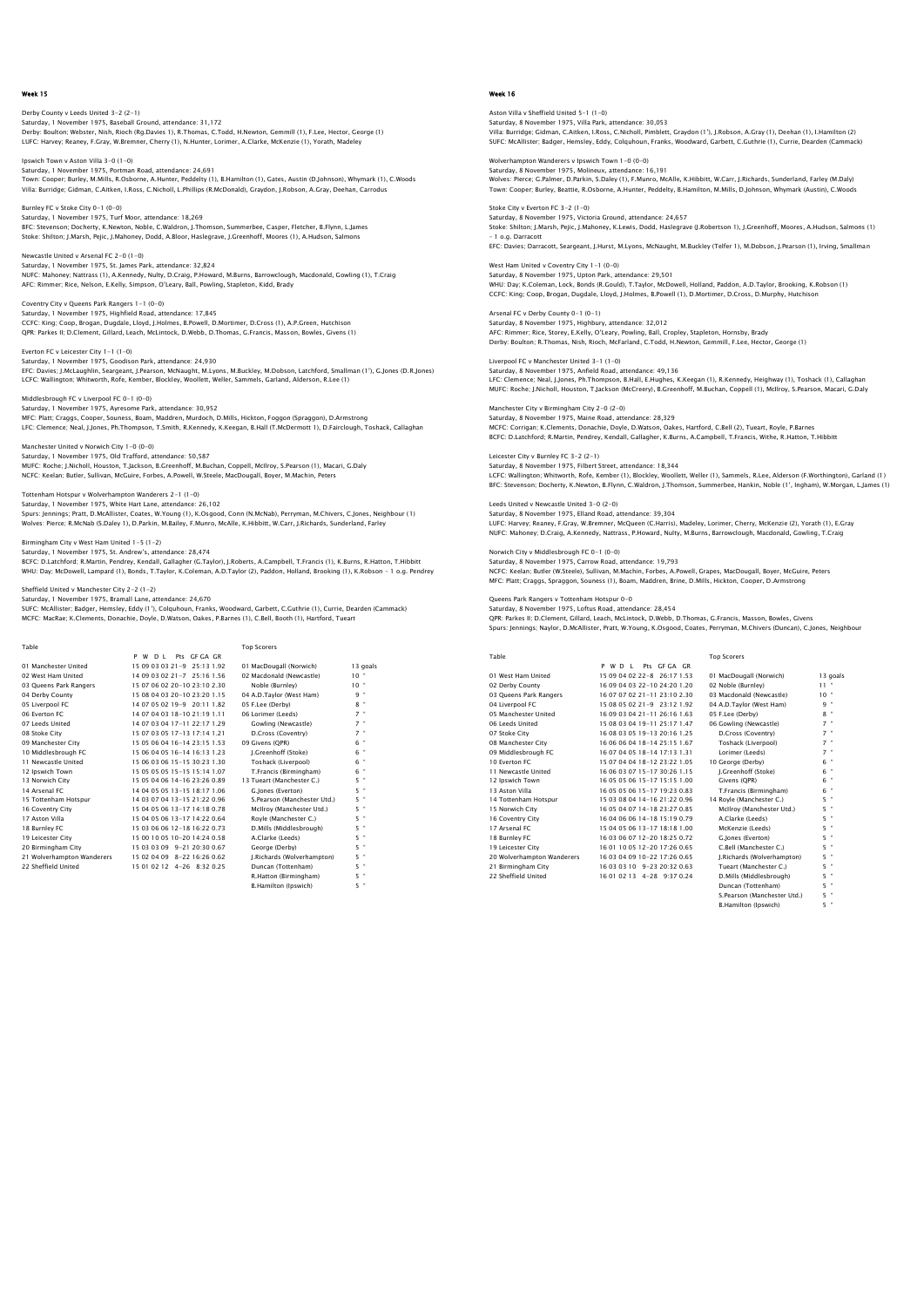Derby County v Leeds United 3-2 (2-1) Saturday, 1 November 1975, Baseball Ground, attendance: 31,172 Derby: Boulton; Webster, Nish, Rioch (Rg.Davies 1), R.Thomas, C.Todd, H.Newton, Gemmill (1), F.Lee, Hector, George (1) LUFC: Harvey; Reaney, F.Gray, W.Bremner, Cherry (1), N.Hunter, Lorimer, A.Clarke, McKenzie (1), Yorath, Madeley

Ipswich Town v Aston Villa 3-0 (1-0) Saturday, 1 November 1975, Portman Road, attendance: 24,691 Town: Cooper; Burley, M.Mills, R.Osborne, A.Hunter, Peddelty (1), B.Hamilton (1), Gates, Austin (D.Johnson), Whymark (1), C.Woods Villa: Burridge; Gidman, C.Aitken, I.Ross, C.Nicholl, L.Phillips (R.McDonald), Graydon, J.Robson, A.Gray, Deehan, Carrodus

Burnley FC v Stoke City 0-1 (0-0) Saturday, 1 November 1975, Turf Moor, attendance: 18,269 BFC: Stevenson; Docherty, K.Newton, Noble, C.Waldron, J.Thomson, Summerbee, Casper, Fletcher, B.Flynn, L.James Stoke: Shilton; J.Marsh, Pejic, J.Mahoney, Dodd, A.Bloor, Haslegrave, J.Greenhoff, Moores (1), A.Hudson, Salmons

Newcastle United v Arsenal FC 2-0 (1-0)<br>Saturday 1 November 1975, St. James Pa Saturday, 1 November 1975, St. James Park, attendance: 32,824 NUFC: Mahoney; Nattrass (1), A.Kennedy, Nulty, D.Craig, P.Howard, M.Burns, Barrowclough, Macdonald, Gowling (1), T.Craig<br>AFC: Rimmer; Rice, Nelson, E.Kelly, Simpson, O'Leary, Ball, Powling, Stapleton, Kidd, Brady

Coventry City v Queens Park Rangers 1-1 (0-0) Saturday, 1 November 1975, Highfield Road, attendance: 17,845 CCFC: King; Coop, Brogan, Dugdale, Lloyd, J.Holmes, B.Powell, D.Mortimer, D.Cross (1), A.P.Green, Hutchison QPR: Parkes II; D.Clement, Gillard, Leach, McLintock, D.Webb, D.Thomas, G.Francis, Masson, Bowles, Givens (1)

Everton FC v Leicester City 1-1 (1-0) Saturday, 1 November 1975, Goodison Park, attendance: 24,930<br>EFC: Davies: J.McLaughlin, Seargeant, J.Pearson, McNaught, M.Lyons, M.Buckley, M.Dobson, Latchford, Smallman (1'), G.Jones (D.R.Jones) LCFC: Wallington; Whitworth, Rofe, Kember, Blockley, Woollett, Weller, Sammels, Garland, Alderson, R.Lee (1)

Middlesbrough FC v Liverpool FC 0-1 (0-0) Saturday, 1 November 1975, Ayresome Park, attendance: 30,952 MFC: Platt; Craggs, Cooper, Souness, Boam, Maddren, Murdoch, D.Mills, Hickton, Foggon (Spraggon), D.Armstrong LFC: Clemence; Neal, J.Jones, Ph.Thompson, T.Smith, R.Kennedy, K.Keegan, B.Hall (T.McDermott 1), D.Fairclough, Toshack, Callaghan

Manchester United v Norwich City 1-0 (0-0)<br>Saturday, J. November 1975, Old Trafford, attendance: 50.587. Saturday, 1 November 1975, Old Trafford, attendance: 50,587<br>MUFC: Roche; J.Nicholl, Houston, T.Jackson, B.Greenhoff, M.Buchan, Coppell, McIlroy, S.Pearson (1), Macari, G.Daly<br>NCFC: Keelan; Butler, Sullivan, McGuire, Forbes

Tottenham Hotspur v Wolverhampton Wanderers 2-1 (1-0) Saturday, 1 November 1975, White Hart Lane, attenda Spurs: Jennings; Pratt, D.McAllister, Coates, W.Young (1), K.Osgood, Conn (N.McNab), Perryman, M.Chivers, C.Jones, Neighbour (1)<br>Wolves: Pierce; R.McNab (S.Daley 1), D.Parkin, M.Bailey, F.Munro, McAlle, K.Hibbitt, W.Carr,

Birmingham City v West Ham United 1-5 (1-2) Saturday, 1 November 1975, St. Andrew's, attendance: 28,474

BCFC: D.Latchford; R.Martin, Pendrey, Kendall, Gallagher (G.Taylor), J.Roberts, A.Campbell, T.Francis (1), K.Burns, R.Hatton, T.Hibbitt<br>WHU: Day; McDowell, Lampard (1), Bonds, T.Taylor, K.Coleman, A.D.Taylor (2), Paddon, H

Sheffield United v Manchester City 2-2 (1-2)

Saturday, 1 November 1975, Bramall Lane, attendance: 24,670

SUFC: McAllister; Badger, Hemsley, Eddy (1'), Colquhoun, Franks, Woodward, Garbett, C.Guthrie (1), Currie, Dearden (Cammack)<br>MCFC: MacRae; K.Clements, Donachie, Doyle, D.Watson, Oakes, P.Barnes (1), C.Bell, Booth (1), Hart

| Table                      |                               | <b>Top Scorers</b>           |                           |
|----------------------------|-------------------------------|------------------------------|---------------------------|
|                            | Pts GEGA GR<br>P W D I        |                              |                           |
| 01 Manchester United       | 15 09 03 03 21 - 9 25 13 1.92 | 01 MacDougall (Norwich)      | 13 goals                  |
| 02 West Ham United         | 14 09 03 02 21 - 7 25 16 1.56 | 02 Macdonald (Newcastle)     | $10 -$                    |
| 03 Queens Park Rangers     | 15 07 06 02 20-10 23:10 2.30  | Noble (Burnley)              | $10 -$                    |
| 04 Derby County            | 15 08 04 03 20-10 23:20 1.15  | 04 A.D.Taylor (West Ham)     | 9 "                       |
| 05 Liverpool FC            | 14 07 05 02 19-9 20:11 1.82   | 05 F.Lee (Derby)             | $8$ "                     |
| 06 Everton EC              | 14 07 04 03 18-10 21:19 1.11  | 06 Lorimer (Leeds)           | $7$ "                     |
| 07 Leeds United            | 14 07 03 04 17-11 22:17 1.29  | Gowling (Newcastle)          | $7$ "                     |
| 08 Stoke City              | 15 07 03 05 17-13 17:14 1.21  | D.Cross (Coventry)           | $7$ "                     |
| 09 Manchester City         | 15 05 06 04 16-14 23:15 1.53  | 09 Givens (OPR)              | 6 "                       |
| 10 Middlesbrough FC        | 15 06 04 05 16-14 16:13 1.23  | I.Greenhoff (Stoke)          | 6 "                       |
| 11 Newcastle United        | 15 06 03 06 15-15 30:23 1.30  | Toshack (Liverpool)          | 6 "                       |
| 12 Ipswich Town            | 15 05 05 05 15-15 15:14 1.07  | T.Francis (Birmingham)       | 6 "                       |
| 13 Norwich City            | 15 05 04 06 14-16 23:26 0.89  | 13 Tueart (Manchester C.)    | $5$ "                     |
| 14 Arsenal FC              | 14 04 05 05 13-15 18:17 1.06  | G. lones (Everton)           | 5 "                       |
| 15 Tottenham Hotspur       | 14 03 07 04 13-15 21:22 0.96  | S. Pearson (Manchester Utd.) | 5 "                       |
| 16 Coventry City           | 15 04 05 06 13-17 14:18 0.78  | McIlroy (Manchester Utd.)    | $5$ "                     |
| 17 Aston Villa             | 15 04 05 06 13-17 14:22 0.64  | Rovle (Manchester C.)        | 5 "                       |
| 18 Burnley FC              | 15 03 06 06 12-18 16:22 0.73  | D.Mills (Middlesbrough)      | 5 "                       |
| 19 Leicester City          | 15 00 10 05 10-20 14:24 0.58  | A.Clarke (Leeds)             | $5$ "                     |
| 20 Birmingham City         | 15 03 03 09 9-21 20:30 0.67   | George (Derby)               | $5$ "                     |
| 21 Wolverhampton Wanderers | 15 02 04 09 8-22 16:26 0.62   | J.Richards (Wolverhampton)   | $5$ "                     |
| 22 Sheffield United        | 15 01 02 12 4-26 8:32 0.25    | Duncan (Tottenham)           | $5$ "                     |
|                            |                               | R.Hatton (Birmingham)        | $5$ "                     |
|                            |                               | <b>B.Hamilton (Inswich)</b>  | $\ddot{\phantom{1}}$<br>5 |

# Week 16

Aston Villa v Sheffield United 5–1 (1–0)<br>Saturday, 8 November 1975, Villa Park, attendance: 30,053<br>Villa: Burridge; Gidman, C.Aitken, I.Ross, C.Nicholl, Pimblett, Graydon (1'), J.Robson, A.Gray (1), Deehan (1), I.Hamilton SUFC: McAllister; Badger, Hemsley, Eddy, Colquhoun, Franks, Woodward, Garbett, C.Guthrie (1), Currie, Dearden (Cammack)

Wolverhampton Wanderers v Ipswich Town 1–0 (0–0)<br>Saturday, 8 November 1975, Molineux, attendance: 16,191<br>Wolves: Pierce: G.Palmer, D.Parkin, S.Daley (1), F.Munro, McAlle, K.Hibbitt, W.Carr, J.Richards, Sunderland, Farley ( Town: Cooper; Burley, Beattie, R.Osborne, A.Hunter, Peddelty, B.Hamilton, M.Mills, D.Johnson, Whymark (Austin), C.Woods

Stoke City v Everton EC 3-2 (1-0) s 3-2 (1-0)<br>1975, Victoria Ground, attendance: 24,657 Stoke: Shilton; J.Marsh, Pejic, J.Mahoney, K.Lewis, Dodd, Haslegrave (J.Robertson 1), J.Greenhoff, Moores, A.Hudson, Salmons (1) – 1 o.g. Darracott EFC: Davies; Darracott, Seargeant, J.Hurst, M.Lyons, McNaught, M.Buckley (Telfer 1), M.Dobson, J.Pearson (1), Irving, Smallman

West Ham United v Coventry City 1-1 (0-0) Saturday, 8 November 1975, Upton Park, attendance: 29,501 WHU: Day; K.Coleman, Lock, Bonds (R.Gould), T.Taylor, McDowell, Holland, Paddon, A.D.Taylor, Brooking, K.Robson (1) CCFC: King; Coop, Brogan, Dugdale, Lloyd, J.Holmes, B.Powell (1), D.Mortimer, D.Cross, D.Murphy, Hutchison

Arsenal FC v Derby County 0-1 (0-1) narre v Derby County 0-1 (0-1)<br>rday, 8 November 1975, Highbury, attendance: 32,012 AFC: Rimmer; Rice, Storey, E.Kelly, O'Leary, Powling, Ball, Cropley, Stapleton, Hornsby, Brady Derby: Boulton; R.Thomas, Nish, Rioch, McFarland, C.Todd, H.Newton, Gemmill, F.Lee, Hector, George (1)

Liverpool FC v Manchester United 3-1 (1-0) Saturday, 8 November 1975, Anfield Road, attendance: 49,136 LFC: Clemence; Neal, J.Jones, Ph.Thompson, B.Hall, E.Hughes, K.Keegan (1), R.Kennedy, Heighway (1), Toshack (1), Callaghan<br>MUFC: Roche: J.Nicholl, Houston, T.Jackson (McCreery), B.Greenhoff, M.Buchan, Coppell (1), McIlroy,

Manchester City v Birmingham City 2-0 (2-0) Saturday, 8 November 1975, Maine Road, attendance: 28,329 MCFC: Corrigan; K.Clements, Donachie, Doyle, D.Watson, Oakes, Hartford, C.Bell (2), Tueart, Royle, P.Barnes BCFC: D.Latchford; R.Martin, Pendrey, Kendall, Gallagher, K.Burns, A.Campbell, T.Francis, Withe, R.Hatton, T.Hibbitt

Leicester City v Burnley FC 3-2 (2-1) Saturday, 8 November 1975, Filbert Street, attendance: 18,344 LCFC: Wallington; Whitworth, Rofe, Kember (1), Blockley, Woollett, Weller (1), Sammels, R.Lee, Alderson (F.Worthington), Garland (1)<br>BFC: Stevenson; Docherty, K.Newton, B.Flynn, C.Waldron, J.Thomson, Summerbee, Hankin, Nob

Leeds United v Newcastle United 3-0 (2-0) Saturday, 8 November 1975, Elland Road, attendance: 39,304 LUFC: Harvey; Reaney, F.Gray, W.Bremner, McQueen (C.Harris), Madeley, Lorimer, Cherry, McKenzie (2), Yorath (1), E.Gray NUFC: Mahoney; D.Craig, A.Kennedy, Nattrass, P.Howard, Nulty, M.Burns, Barrowclough, Macdonald, Gowling, T.Craig

Norwich City v Middlesbrough FC 0-1 (0-0)

Saturday, 8 November 1975, Carrow Road, attendance: 19,793<br>NCFC: Keelan; Butler (W.Steele), Sullivan, M.Machin, Forbes, A.Powell, Grapes, MacDougall, Boyer, McGuire, Peters<br>MFC: Platt: Craqqs, Spraqqon, Souness (1), Boam,

Queens Park Rangers v Tottenham Hotspur 0-0<br>Saturday & November 1975, Loftus Road, attend Saturday, 8 November 1975, Loftus Road, attendance: 28,454

QPR: Parkes II; D.Clement, Gillard, Leach, McLintock, D.Webb, D.Thomas, G.Francis, Masson, Bowles, Givens<br>Spurs: Jennings; Naylor, D.McAllister, Pratt, W.Young, K.Osgood, Coates, Perryman, M.Chivers (Duncan), C.Jones, Neig

| Table                      |                               | <b>Top Scorers</b>         |           |
|----------------------------|-------------------------------|----------------------------|-----------|
|                            | P W D I<br>Pts GEGA GR        |                            |           |
| 01 West Ham United         | 15 09 04 02 22-8 26:17 1.53   | 01 MacDougall (Norwich)    | 13 goals  |
| 02 Derby County            | 16 09 04 03 22-10 24:20 1.20  | 02 Noble (Burnley)         | $11 -$    |
| 03 Queens Park Rangers     | 16 07 07 02 21-11 23:10 2.30  | 03 Macdonald (Newcastle)   | $10^{-4}$ |
| 04 Liverpool FC            | 15 08 05 02 21 - 9 23:12 1.92 | 04 A.D.Tavlor (West Ham)   | $9 -$     |
| 05 Manchester United       | 16 09 03 04 21-11 26:16 1.63  | 05 F.Lee (Derby)           | $8 -$     |
| 06 Leeds United            | 15 08 03 04 19-11 25:17 1.47  | 06 Gowling (Newcastle)     | $7 -$     |
| 07 Stoke City              | 16.08.03.05.19-13.20:16.1.25  | D.Cross (Coventry)         | $7 -$     |
| 08 Manchester City         | 16.06.06.04.18-14.25:15.1.67  | Toshack (Liverpool)        | $7 -$     |
| 09 Middlesbrough FC        | 16 07 04 05 18-14 17:13 1.31  | Lorimer (Leeds)            | $7 -$     |
| 10 Everton EC              | 15 07 04 04 18-12 23:22 1.05  | 10 George (Derby)          | $6 -$     |
| 11 Newcastle United        | 16.06.03.07.15-17.30:26.1.15  | I.Greenhoff (Stoke)        | $6 -$     |
| 12 Ipswich Town            | 16 05 05 06 15-17 15:15 1.00  | Givens (OPR)               | $6 -$     |
| 13 Aston Villa             | 16.05.05.06.15-17.19:23.0.83  | T.Francis (Birmingham)     | 6 "       |
| 14 Tottenham Hotspur       | 15 03 08 04 14-16 21:22 0.96  | 14 Rovle (Manchester C.)   | 5. "      |
| 15 Norwich City            | 16 05 04 07 14-18 23:27 0.85  | McIlrov (Manchester Utd.)  | 5. "      |
| 16 Coventry City           | 16 04 06 06 14-18 15:19 0.79  | A.Clarke (Leeds)           | 5. "      |
| 17 Arsenal FC              | 15 04 05 06 13-17 18:18 1.00  | McKenzie (Leeds)           | $5 -$     |
| 18 Burnley FC              | 16.03.06.07.12-20.18:25.0.72  | G.Jones (Everton)          | 5. "      |
| 19 Leicester City          | 16 01 10 05 12-20 17:26 0.65  | C.Bell (Manchester C.)     | 5 "       |
| 20 Wolverhampton Wanderers | 16 03 04 09 10-22 17:26 0.65  | J.Richards (Wolverhampton) | 5. "      |
| 21 Birmingham City         | 16.03.03.10 9-23.20:32.0.63   | Tueart (Manchester C.)     | 5. "      |
| 22 Sheffield United        | 16 01 02 13 4-28 9:37 0.24    | D.Mills (Middlesbrough)    | $5 -$     |

|  |                          |  | LUITTIEL TLEEUST           |       |        |
|--|--------------------------|--|----------------------------|-------|--------|
|  | 7 04 04 18-12 23:22 1.05 |  | 10 George (Derby)          | $6 -$ |        |
|  | 5 03 07 15-17 30:26 1.15 |  | I.Greenhoff (Stoke)        | $6 -$ |        |
|  | 05 06 15-17 15:15 1.00   |  | Givens (OPR)               | $6 -$ |        |
|  | 05 06 15-17 19:23 0.83   |  | T.Francis (Birmingham)     | $6 -$ |        |
|  | 3 08 04 14-16 21:22 0.96 |  | 14 Royle (Manchester C.)   | $5 -$ |        |
|  | 04 07 14-18 23:27 0.85   |  | McIlrov (Manchester Utd.)  | $5 -$ |        |
|  | 106 06 14-18 15:19 0.79  |  | A.Clarke (Leeds)           | 5. "  |        |
|  | 105 06 13-17 18:18 1.00  |  | McKenzie (Leeds)           | 5. "  |        |
|  | 3 06 07 12-20 18:25 0.72 |  | G.lones (Everton)          | 5 "   |        |
|  | 1005 12-20 17:26 0.65    |  | C.Bell (Manchester C.)     | 5. "  |        |
|  | 3 04 09 10-22 17:26 0.65 |  | J.Richards (Wolverhampton) | $5 -$ |        |
|  | 3 03 10 9-23 20:32 0.63  |  | Tueart (Manchester C.)     | 5. "  |        |
|  | 02 13 4-28 9:37 0.24     |  | D.Mills (Middlesbrough)    | 5. "  |        |
|  |                          |  | Duncan (Tottenham)         | 5     | $\sim$ |

Duncan (Tottenham) 5<br>
S Pearson (Manchester Litd.) 5 S.Pearson (Manchester Utd.) B.Hamilton (Ipswich)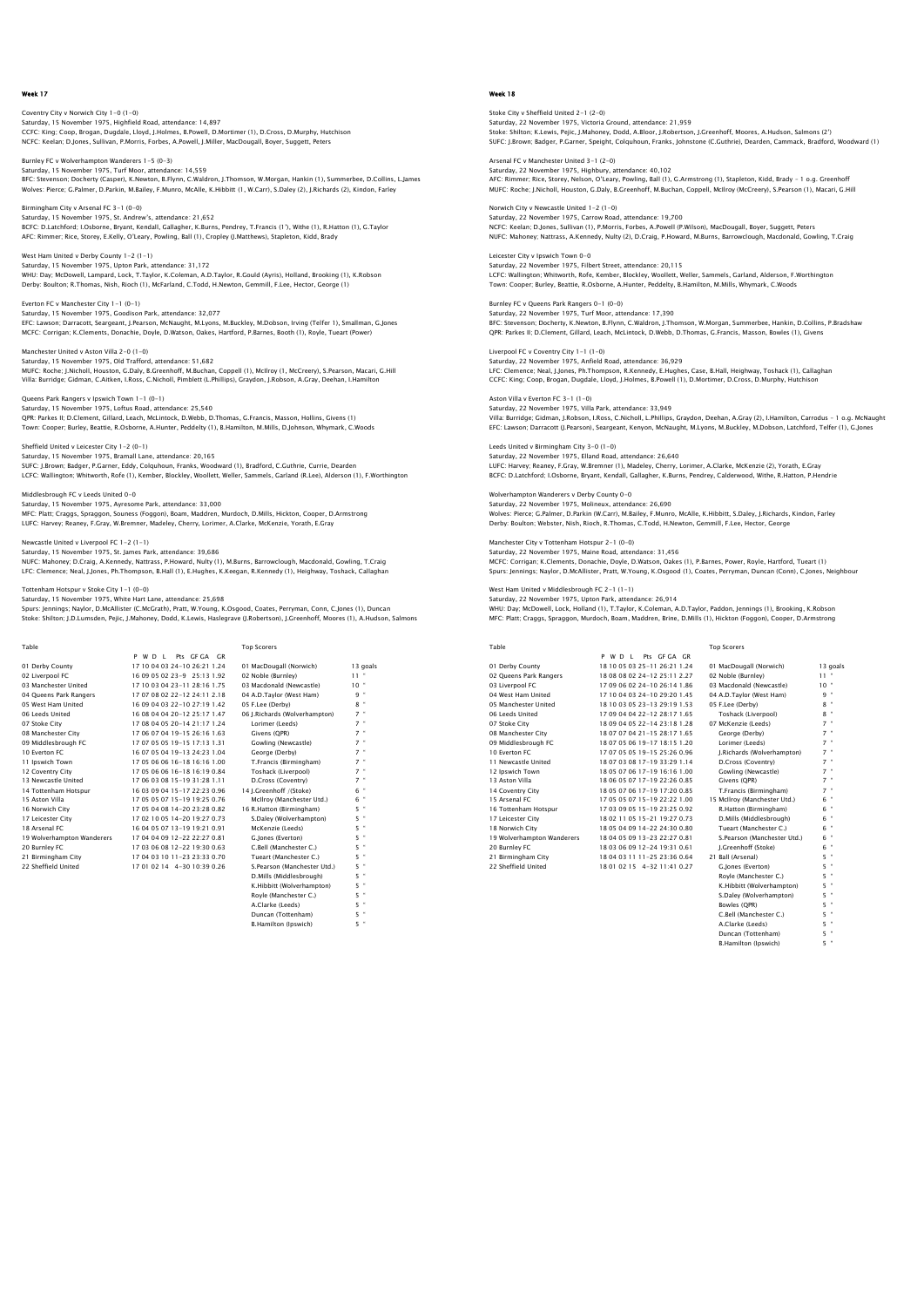Coventry City v Norwich City 1–0 (1–0)<br>Saturday, 15 November 1975, Highfield Road, attendance: 14,897<br>CCFC: King; Coop, Brogan, Dugdale, Lloyd, J.Holmes, B.Powell, D.Mortimer (1), D.Cross, D.Murphy, Hutchison NCFC: Keelan; D.Jones, Sullivan, P.Morris, Forbes, A.Powell, J.Miller, MacDougall, Boyer, Suggett, Peters

Burnley FC v Wolverhampton Wanderers 1–5 (0–3)<br>Saturday, 15 November 1975, Turf Moor, attendance: 14,559<br>BFC: Stevenson; Docherty (Casper), K.Newton, B.Flynn, C.Waldron, J.Thomson, W.Morqan, Hankin (1), Summerbee, D.Collin Wolves: Pierce; G.Palmer, D.Parkin, M.Bailey, F.Munro, McAlle, K.Hibbitt (1, W.Carr), S.Daley (2), J.Richards (2), Kindon, Farley

Birmingham City v Arsenal FC 3-1 (0-0) ssenari C 3-r (0-0)<br>Iber 1975, St. Andrew's, attendance: 21,652 BCFC: D.Latchford; I.Osborne, Bryant, Kendall, Gallagher, K.Burns, Pendrey, T.Francis (1'), Withe (1), R.Hatton (1), G.Taylor AFC: Rimmer; Rice, Storey, E.Kelly, O'Leary, Powling, Ball (1), Cropley (J.Matthews), Stapleton, Kidd, Brady

West Ham United v Derby County 1-2 (1-1) Saturday, 15 November 1975, Upton Park, attendance: 31,172 WHU: Day; McDowell, Lampard, Lock, T.Taylor, K.Coleman, A.D.Taylor, R.Gould (Ayris), Holland, Brooking (1), K.Robson<br>Derby: Boulton; R.Thomas, Nish, Rioch (1), McFarland, C.Todd, H.Newton, Gemmill, F.Lee, Hector, George (1

Everton FC v Manchester City 1-1 (0-1) Saturday, 15 November 1975, Goodison Park, attendance: 32,077 EFC: Lawson; Darracott, Seargeant, J.Pearson, McNaught, M.Lyons, M.Buckley, M.Dobson, Irving (Telfer 1), Smallman, G.Jones MCFC: Corrigan; K.Clements, Donachie, Doyle, D.Watson, Oakes, Hartford, P.Barnes, Booth (1), Royle, Tueart (Power)

Saturday, 15 November 1975, Old Trafford, attendance: 51,682<br>MUFC: Roche; J.Nicholl, Houston, G.Daly, B.Greenhoff, M.Buchan, Coppell (1), McIlroy (1, McCreery), S.Pearson, Macari, G.Hill Villa: Burridge; Gidman, C.Aitken, I.Ross, C.Nicholl, Pimblett (L.Phillips), Graydon, J.Robson, A.Gray, Deehan, I.Hamilton

Queens Park Rangers v Ipswich Town 1-1 (0-1) Saturday, 15 November 1975, Loftus Road, attendance: 25,540<br>QPR: Parkes II; D.Clement, Gillard, Leach, McLintock, D.Webb, D.Thomas, G.Francis, Masson, Hollins, Givens (1)<br>Town: Cooper; Burley, Beattle, R.Osborne, A.Hunter,

Sheffield United v Leicester City 1-2 (0-1)<br>Saturdav. 15 November 1975. Bramall Lane. attendance: 20.165 Saturday, 15 November 1975, Bramall Lane, attendance: 20,165<br>SUFC: J.Brown; Badger, P.Carner, Eddy, Colquhoun, Franks, Woodward (1), Bradford, C.Guthrie, Currie, Dearden<br>LCFC: Wallington; Whitworth, Rofe (1), Kember, Block

Middlesbrough FC v Leeds United 0-0 Saturday, 15 November 1975, Ayresome Park, attendance: 33,000<br>MFC: Platt; Craggs, Spraggon, Souness (Foggon), Boam, Maddren, Murdoch, D.Mills, Hickton, Cooper, D.Armstrong<br>LUFC: Harvey: Reaney, F.Gray, W.Bremner, Madeley,

# Newcastle United v Liverpool FC 1-2 (1-1)

Saturday, 15 November 1975, St. James Park, attendance: 39,686<br>NUFC: Mahoney, D.C.raig, A.Kennedy, Nattrass, P.Howard, Nulty (1), M.Burns, Barrowclough, Macdonald, Gowling, T.Craig<br>LFC: Clemence; Neal, J.Jones, Ph.Thompson

Tottenham Hotspur v Stoke City 1-1 (0-0)

Manchester United v Aston Villa 2-0 (1-0)

Saturday, 15 November 1975, White Hart Lane, attendance: 25,698

Spurs: Jennings; Naylor, D.McAllister (C.McGrath), Pratt, W.Young, K.Osgood, Coates, Perryman, Conn, C.Jones (1), Duncan<br>Stoke: Shilton; J.D.Lumsden, Pejic, J.Mahoney, Dodd, K.Lewis, Haslegrave (J.Robertson), J.Greenhoff,

| Table                      |                                | <b>Top Scorers</b>            |                           |
|----------------------------|--------------------------------|-------------------------------|---------------------------|
|                            | Pts GEGA GR<br>P W D I         |                               |                           |
| 01 Derby County            | 1710040324-102621124           | 01 MacDougall (Norwich)       | 13 goals                  |
| 02 Liverpool FC            | 16 09 05 02 23-9 25:13 1.92    | 02 Noble (Burnley)            | $11 -$                    |
| 03 Manchester United       | 1710030423-1128161.75          | 03 Macdonald (Newcastle)      | 10"                       |
| 04 Queens Park Rangers     | 17 07 08 02 22-12 24:11 2.18   | 04 A.D.Taylor (West Ham)      | 9 "                       |
| 05 West Ham United         | 16 09 04 03 22-10 27:19 1.42   | 05 F.Lee (Derby)              | $8 -$                     |
| 06 Leeds United            | 16 08 04 04 20-12 25:17 1.47   | 06 J.Richards (Wolverhampton) | $7 -$                     |
| 07 Stoke City              | 17 08 04 05 20-14 21:17 1.24   | Lorimer (Leeds)               | $7 -$                     |
| 08 Manchester City         | 17 06 07 04 19-15 26:16 1.63   | Givens (OPR)                  | $7 -$                     |
| 09 Middlesbrough FC        | 17 07 05 05 19-15 17:13 1.31   | Gowling (Newcastle)           | $7 -$                     |
| 10 Everton EC              | 16 07 05 04 19-13 24:23 1.04   | George (Derby)                | $7 -$                     |
| 11 Ipswich Town            | 17 05 06 06 16-18 16:16 1.00   | T.Francis (Birmingham)        | $7 -$                     |
| 12 Coventry City           | 17 05 06 06 16-18 16:19 0.84   | Toshack (Liverpool)           | $7$ "                     |
| 13 Newcastle United        | 17 06 03 08 15-19 31:28 1.11   | D.Cross (Coventry)            | $7 -$                     |
| 14 Tottenham Hotspur       | 16.03.09.04.15-17.22:23.0.96   | 14 I.Greenhoff /(Stoke)       | 6 "                       |
| 15 Aston Villa             | 17 05 05 07 15-19 19:25 0.76   | McIlroy (Manchester Utd.)     | 6 "                       |
| 16 Norwich City            | 17 05 04 08 14-20 23:28 0.82   | 16 R. Hatton (Birmingham)     | 5 "                       |
| 17 Leicester City          | 1702100514-2019270.73          | S.Daley (Wolverhampton)       | $5$ "                     |
| 18 Arsenal FC              | 16 04 05 07 13-19 19:21 0.91   | McKenzie (Leeds)              | 5 "                       |
| 19 Wolverhampton Wanderers | 17 04 04 09 12-22 22:27 0.81   | G. lones (Everton)            | $5$ "                     |
| 20 Burnley FC              | 17 03 06 08 12-22 19:30 0.63   | C.Bell (Manchester C.)        | 5 "                       |
| 21 Birmingham City         | 17 04 03 10 11 - 23 23:33 0.70 | Tueart (Manchester C.)        | $5$ "                     |
| 22 Sheffield United        | 17010214 4-3010390.26          | S.Pearson (Manchester Utd.)   | 5 "                       |
|                            |                                | D.Mills (Middlesbrough)       | $5$ "                     |
|                            |                                | K.Hibbitt (Wolverhampton)     | $5$ "                     |
|                            |                                | Rovle (Manchester C.)         | 5 "                       |
|                            |                                | A.Clarke (Leeds)              | $\ddot{\phantom{1}}$<br>5 |

 $D$ ncan (Tottenham)  $5$  " **B.Hamilton (Ipswich**)

# Week 18

Stoke City v Sheffield United 2-1 (2-0) Saturday, 22 November 1975, Victoria Ground, attendance: 21,959 Stoke: Shilton; K.Lewis, Pejic, J.Mahoney, Dodd, A.Bloor, J.Robertson, J.Greenhoff, Moores, A.Hudson, Salmons (2') SUFC: J.Brown; Badger, P.Garner, Speight, Colquhoun, Franks, Johnstone (C.Guthrie), Dearden, Cammack, Bradford, Woodward (1)

Arsenal FC v Manchester United 3-1 (2-0) Saturday, 22 November 1975, Highbury, attendance: 40,102 AFC: Rimmer; Rice, Storey, Nelson, O'Leary, Powling, Ball (1), G.Armstrong (1), Stapleton, Kidd, Brady – 1 o.g. Greenhoff MUFC: Roche; J.Nicholl, Houston, G.Daly, B.Greenhoff, M.Buchan, Coppell, McIlroy (McCreery), S.Pearson (1), Macari, G.Hill

Norwich City v Newcastle United 1-2 (1-0) Saturdastie officed 1-2 (1-0)<br>Sember 1975, Carrow Road, attendance: 19,700 NCFC: Keelan; D.Jones, Sullivan (1), P.Morris, Forbes, A.Powell (P.Wilson), MacDougall, Boyer, Suggett, Peters<br>NUFC: Mahoney; Nattrass, A.Kennedy, Nulty (2), D.Craig, P.Howard, M.Burns, Barrowclough, Macdonald, Gowling, T.

Leicester City v Ipswich Town 0-0 ster en y vipsmen 1911 of 9<br>day, 22 November 1975, Filbert Street, attendance: 20,115 LCFC: Wallington; Whitworth, Rofe, Kember, Blockley, Woollett, Weller, Sammels, Garland, Alderson, F.Worthingtor<br>Town: Cooper; Burley, Beattie, R.Osborne, A.Hunter, Peddelty, B.Hamilton, M.Mills, Whymark, C.Woods

Burnley FC v Queens Park Rangers 0-1 (0-0) Saturday, 22 November 1975, Turf Moor, attendance: 17,390 BFC: Stevenson; Docherty, K.Newton, B.Flynn, C.Waldron, J.Thomson, W.Morgan, Summerbee, Hankin, D.Collins, P.Bradshaw QPR: Parkes II; D.Clement, Gillard, Leach, McLintock, D.Webb, D.Thomas, G.Francis, Masson, Bowles (1), Givens Liverpool FC v Coventry City 1-1 (1-0)

Saturday, 22 November 1975, Anfield Road, attendance: 36,929 LFC: Clemence; Neal, J.Jones, Ph.Thompson, R.Kennedy, E.Hughes, Case, B.Hall, Heighway, Toshack (1), Callaghan CCFC: King; Coop, Brogan, Dugdale, Lloyd, J.Holmes, B.Powell (1), D.Mortimer, D.Cross, D.Murphy, Hutchison Aston Villa v Everton FC 3-1 (1-0)

Saturday, 22 November 1975, Villa Park, attendance: 33,949 Villa: Burridge; Gidman, J.Robson, I.Ross, C.Nicholl, L.Phillips, Graydon, Deehan, A.Gray (2), I.Hamilton, Carrodus – 1 o.g. McNaught EFC: Lawson; Darracott (J.Pearson), Seargeant, Kenyon, McNaught, M.Lyons, M.Buckley, M.Dobson, Latchford, Telfer (1), G.Jones

Leeds United v Birmingham City 3-0 (1-0)<br>Seturday, 22 November 1975, Elland Road, attendance: 26,640 Saturday, 22 November 1975, Elland Road, attendance: 26,640<br>LUFC: Harvey: Reaney, F.Gray, W.Bremner (1), Madeley, Cherry, Lorimer, A.Clarke, McKenzie (2), Yorath, E.Gray<br>BCFC: D.Latchford; LOsborne, Bryant, Kendall, Gallag

Wolverhampton Wanderers v Derby County 0-0 Saturday, 22 November 1975, Molineux, attendance: 26,690 Wolves: Pierce; G.Palmer, D.Parkin (W.Carr), M.Bailey, F.Munro, McAlle, K.Hibbitt, S.Daley, J.Richards, Kindon, Farley<br>Derby: Boulton; Webster, Nish, Rioch, R.Thomas, C.Todd, H.Newton, Gemmill, F.Lee, Hector, George

Manchester City v Tottenham Hotspur 2-1 (0-0) Saturday, 22 November 1975, Maine Road, attendance: 31,456 MCFC: Corrigan; K.Clements, Donachie, Doyle, D.Watson, Oakes (1), P.Barnes, Power, Royle, Hartford, Tueart (1)<br>Spurs: Jennings; Naylor, D.McAllister, Pratt, W.Young, K.Osgood (1), Coates, Perryman, Duncan (Conn), C.Jones,

West Ham United v Middlesbrough FC 2-1 (1-1) Saturday, 22 November 1975, Upton Park, attendance: 26,914 WHU: Day; McDowell, Lock, Holland (1), T.Taylor, K.Coleman, A.D.Taylor, Paddon, Jennings (1), Brooking, K.Robson MFC: Platt; Craggs, Spraggon, Murdoch, Boam, Maddren, Brine, D.Mills (1), Hickton (Foggon), Cooper, D.Armstrong

| Table                      |                                | <b>Top Scorers</b>           |           |
|----------------------------|--------------------------------|------------------------------|-----------|
|                            | P W D I<br>Pts GEGA GR         |                              |           |
| 01 Derby County            | 18 10 05 03 25-11 26:21 1.24   | 01 MacDougall (Norwich)      | 13 goals  |
| 02 Oueens Park Rangers     | 18 08 08 02 24-12 25:11 2.27   | 02 Noble (Burnley)           | $11 -$    |
| 03 Liverpool FC            | 17 09 06 02 24-10 26:14 1.86   | 03 Macdonald (Newcastle)     | $10^{-4}$ |
| 04 West Ham United         | 17 10 04 03 24-10 29:20 1.45   | 04 A.D.Tavlor (West Ham)     | $9 -$     |
| 05 Manchester United       | 18 10 03 05 23-13 29:19 1.53   | 05 F.Lee (Derby)             | $8 -$     |
| 06 Leeds United            | 17 09 04 04 22-12 28:17 1.65   | Toshack (Liverpool)          | $8 -$     |
| 07 Stoke City              | 18 09 04 05 22-14 23:18 1.28   | 07 McKenzie (Leeds)          | $7 -$     |
| 08 Manchester City         | 18 07 07 04 21-15 28:17 1.65   | George (Derby)               | $7 -$     |
| 09 Middlesbrough FC        | 18 07 05 06 19-17 18:15 1.20   | Lorimer (Leeds)              | $7 -$     |
| 10 Everton EC              | 17 07 05 05 19-15 25:26 0.96   | J.Richards (Wolverhampton)   | $7 -$     |
| 11 Newcastle United        | 18 07 03 08 17-19 33:29 1.14   | D.Cross (Coventry)           | $7 -$     |
| 12 Ipswich Town            | 18.05.07.06.17-19.16:16.1.00   | Gowling (Newcastle)          | $7 -$     |
| 13 Aston Villa             | 18 06 05 07 17-19 22:26 0.85   | Givens (QPR)                 | $7 -$     |
| 14 Coventry City           | 18 05 07 06 17-19 17:20 0.85   | T.Francis (Birmingham)       | $7 -$     |
| 15 Arsenal FC              | 17 05 05 07 15-19 22:22 1.00   | 15 McIlroy (Manchester Utd.) | $6 -$     |
| 16 Tottenham Hotspur       | 17 03 09 05 15-19 23:25 0.92   | R.Hatton (Birmingham)        | $6 -$     |
| 17 Leicester City          | 18 02 11 05 15-21 19:27 0.73   | D.Mills (Middlesbrough)      | 6 "       |
| 18 Norwich City            | 18 05 04 09 14-22 24:30 0.80   | Tueart (Manchester C.)       | $6 -$     |
| 19 Wolverhampton Wanderers | 18 04 05 09 13-23 22:27 0.81   | S.Pearson (Manchester Utd.)  | $6 -$     |
| 20 Burnley FC              | 18 03 06 09 12-24 19:31 0.61   | I.Greenhoff (Stoke)          | $6 -$     |
| 21 Birmingham City         | 18 04 03 11 11 - 25 23:36 0.64 | 21 Ball (Arsenal)            | 5. "      |
| 22 Sheffield United        | 18 01 02 15 4-32 11:41 0.27    | G.lones (Everton)            | 5. "      |
|                            |                                | Rovie (Manchester C.)        | 5. "      |
|                            |                                | K.Hibbitt (Wolverhampton)    | 5 "       |
|                            |                                |                              |           |

| 15 Arsenal FC              | 17 05 05 07 15-19 22:22 1.00   | 15 McIlrov (Manchester Utd.) | 6 ' |
|----------------------------|--------------------------------|------------------------------|-----|
| 16 Tottenham Hotspur       | 17 03 09 05 15-19 23:25 0.92   | R.Hatton (Birmingham)        | 6 ' |
| 17 Leicester City          | 18 02 11 05 15-21 19:27 0.73   | D.Mills (Middlesbrough)      | 6 ' |
| 18 Norwich City            | 18 05 04 09 14-22 24:30 0.80   | Tueart (Manchester C.)       | 6 ' |
| 19 Wolverhampton Wanderers | 18 04 05 09 13-23 22:27 0.81   | S.Pearson (Manchester Utd.)  | 6 ' |
| 20 Burnley FC              | 18 03 06 09 12-24 19:31 0.61   | I.Greenhoff (Stoke)          | 6 ' |
| 21 Birmingham City         | 18 04 03 11 11 - 25 23:36 0.64 | 21 Ball (Arsenal)            | 5.1 |
| 22 Sheffield United        | 18 01 02 15 4-32 11:41 0.27    | G.lones (Everton)            | 5.1 |
|                            |                                | Rovie (Manchester C.)        | 5.1 |
|                            |                                | K.Hibbitt (Wolverhampton)    | 5.1 |
|                            |                                | S.Dalev (Wolverhampton)      | 5.  |
|                            |                                | Bowles (OPR)                 | 5.1 |
|                            |                                | C.Bell (Manchester C.)       | 5.1 |
|                            |                                | A.Clarke (Leeds)             | 5.1 |
|                            |                                | Duncan (Tottenham)           | 5.1 |
|                            |                                | <b>B.Hamilton (Ipswich)</b>  | 5.  |